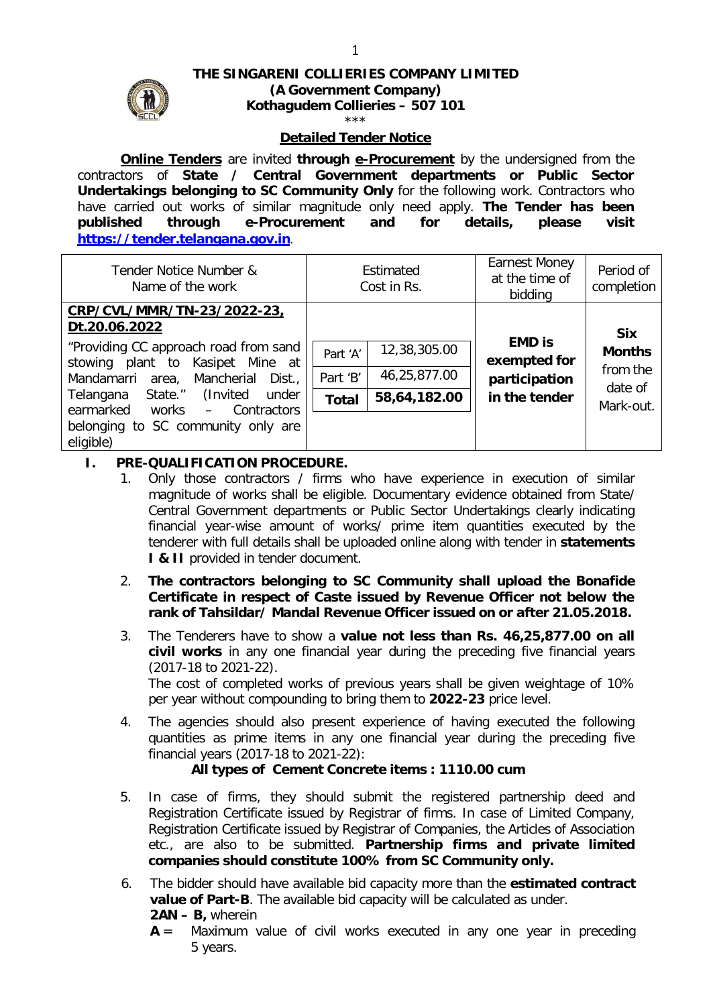# **THE SINGARENI COLLIERIES COMPANY LIMITED**



#### **(A Government Company) Kothagudem Collieries – 507 101**

#### \*\*\*

### **Detailed Tender Notice**

**Online Tenders** are invited **through e-Procurement** by the undersigned from the contractors of **State / Central Government departments or Public Sector Undertakings belonging to SC Community Only** for the following work. Contractors who have carried out works of similar magnitude only need apply. **The Tender has been published through e-Procurement and for details, please visit https://tender.telangana.gov.in**.

| Tender Notice Number &<br>Name of the work                                | Estimated<br>Cost in Rs. |              | <b>Earnest Money</b><br>at the time of<br>bidding | Period of<br>completion     |
|---------------------------------------------------------------------------|--------------------------|--------------|---------------------------------------------------|-----------------------------|
| CRP/CVL/MMR/TN-23/2022-23,<br>Dt.20.06.2022                               |                          |              |                                                   |                             |
| "Providing CC approach road from sand<br>stowing plant to Kasipet Mine at | Part 'A'                 | 12,38,305.00 | <b>EMD is</b><br>exempted for                     | <b>Six</b><br><b>Months</b> |
| Mandamarri area, Mancherial<br>Dist.,                                     | Part 'B'                 | 46,25,877.00 | participation                                     | from the<br>date of         |
| Telangana State." (Invited under<br>earmarked<br>works – Contractors      | <b>Total</b>             | 58,64,182.00 | in the tender                                     | Mark-out.                   |
| belonging to SC community only are<br>eligible)                           |                          |              |                                                   |                             |

### **I. PRE-QUALIFICATION PROCEDURE.**

- 1. Only those contractors / firms who have experience in execution of similar magnitude of works shall be eligible. Documentary evidence obtained from State/ Central Government departments or Public Sector Undertakings clearly indicating financial year-wise amount of works/ prime item quantities executed by the tenderer with full details shall be uploaded online along with tender in **statements I & II** provided in tender document.
- 2. **The contractors belonging to SC Community shall upload the Bonafide Certificate in respect of Caste issued by Revenue Officer not below the rank of Tahsildar/ Mandal Revenue Officer issued on or after 21.05.2018.**
- 3. The Tenderers have to show a **value not less than Rs. 46,25,877.00 on all civil works** in any one financial year during the preceding five financial years (2017-18 to 2021-22). The cost of completed works of previous years shall be given weightage of 10% per year without compounding to bring them to **2022-23** price level.
- 4. The agencies should also present experience of having executed the following quantities as prime items in any one financial year during the preceding five financial years (2017-18 to 2021-22):

### **All types of Cement Concrete items : 1110.00 cum**

- 5. In case of firms, they should submit the registered partnership deed and Registration Certificate issued by Registrar of firms. In case of Limited Company, Registration Certificate issued by Registrar of Companies, the Articles of Association etc., are also to be submitted. **Partnership firms and private limited companies should constitute 100% from SC Community only.**
- 6. The bidder should have available bid capacity more than the **estimated contract value of Part-B**. The available bid capacity will be calculated as under. **2AN – B,** wherein
	- **A** = Maximum value of civil works executed in any one year in preceding 5 years.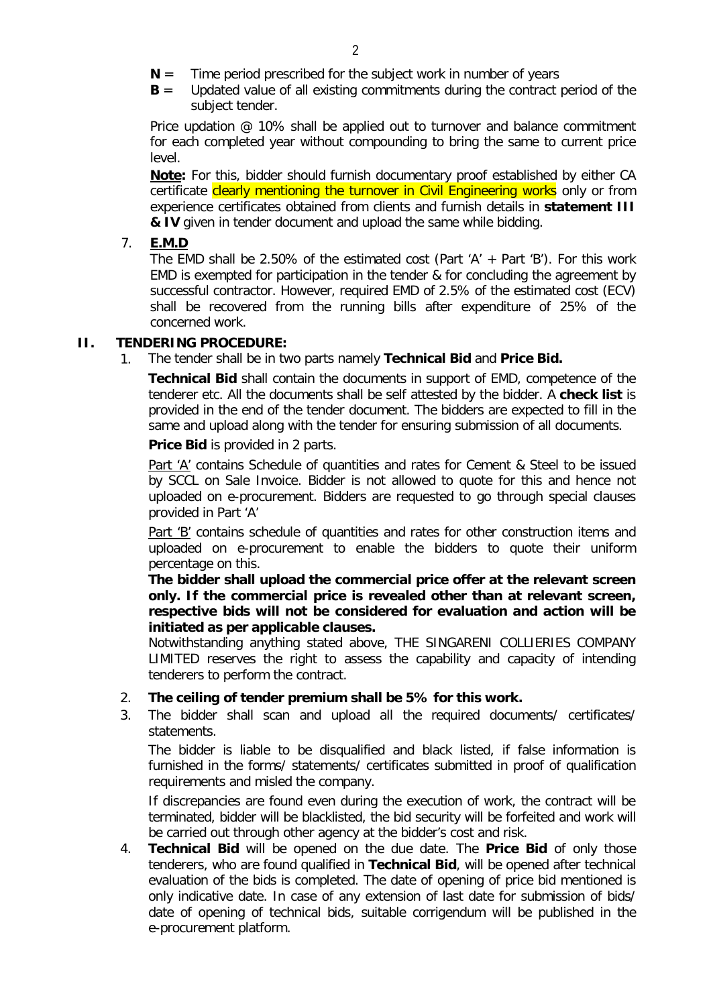- **N** = Time period prescribed for the subject work in number of years
- **B** = Updated value of all existing commitments during the contract period of the subject tender.

Price updation @ 10% shall be applied out to turnover and balance commitment for each completed year without compounding to bring the same to current price level.

**Note:** For this, bidder should furnish documentary proof established by either CA certificate clearly mentioning the turnover in Civil Engineering works only or from experience certificates obtained from clients and furnish details in **statement III & IV** given in tender document and upload the same while bidding.

## 7. **E.M.D**

The EMD shall be 2.50% of the estimated cost (Part 'A' + Part 'B'). For this work EMD is exempted for participation in the tender & for concluding the agreement by successful contractor. However, required EMD of 2.5% of the estimated cost (ECV) shall be recovered from the running bills after expenditure of 25% of the concerned work.

## **II. TENDERING PROCEDURE:**

1. The tender shall be in two parts namely **Technical Bid** and **Price Bid.** 

**Technical Bid** shall contain the documents in support of EMD, competence of the tenderer etc. All the documents shall be self attested by the bidder. A **check list** is provided in the end of the tender document. The bidders are expected to fill in the same and upload along with the tender for ensuring submission of all documents.

**Price Bid** is provided in 2 parts.

Part 'A' contains Schedule of quantities and rates for Cement & Steel to be issued by SCCL on Sale Invoice. Bidder is not allowed to quote for this and hence not uploaded on e-procurement. Bidders are requested to go through special clauses provided in Part 'A'

Part 'B' contains schedule of quantities and rates for other construction items and uploaded on e-procurement to enable the bidders to quote their uniform percentage on this.

**The bidder shall upload the commercial price offer at the relevant screen only. If the commercial price is revealed other than at relevant screen, respective bids will not be considered for evaluation and action will be initiated as per applicable clauses.**

Notwithstanding anything stated above, THE SINGARENI COLLIERIES COMPANY LIMITED reserves the right to assess the capability and capacity of intending tenderers to perform the contract.

- 2. **The ceiling of tender premium shall be 5% for this work.**
- 3. The bidder shall scan and upload all the required documents/ certificates/ statements.

The bidder is liable to be disqualified and black listed, if false information is furnished in the forms/ statements/ certificates submitted in proof of qualification requirements and misled the company.

If discrepancies are found even during the execution of work, the contract will be terminated, bidder will be blacklisted, the bid security will be forfeited and work will be carried out through other agency at the bidder's cost and risk.

4. **Technical Bid** will be opened on the due date. The **Price Bid** of only those tenderers, who are found qualified in **Technical Bid**, will be opened after technical evaluation of the bids is completed. The date of opening of price bid mentioned is only indicative date. In case of any extension of last date for submission of bids/ date of opening of technical bids, suitable corrigendum will be published in the e-procurement platform.